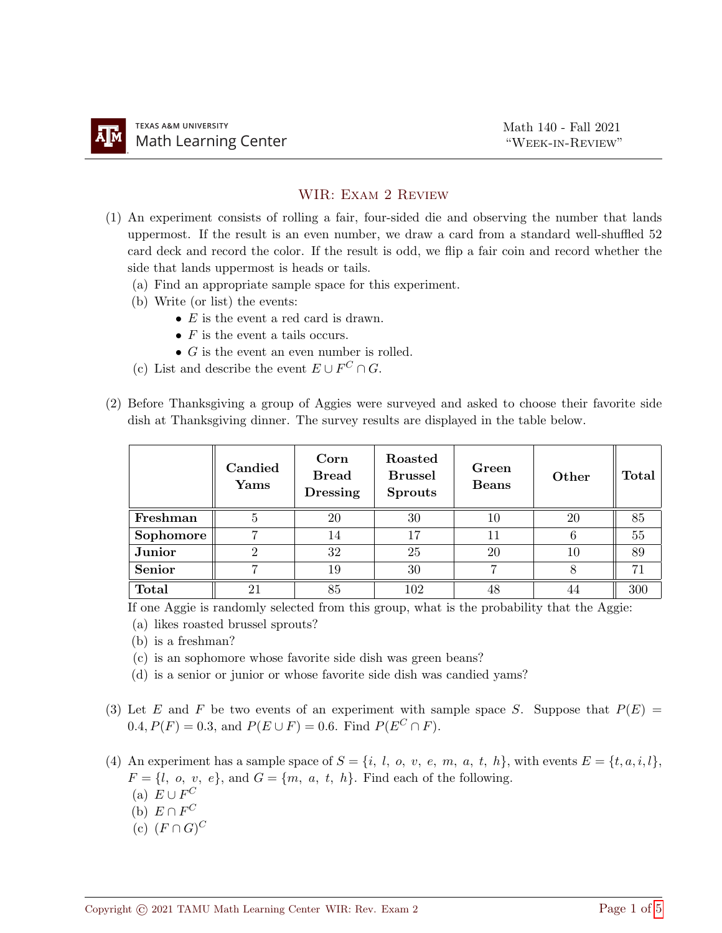## WIR: Exam 2 Review

- (1) An experiment consists of rolling a fair, four-sided die and observing the number that lands uppermost. If the result is an even number, we draw a card from a standard well-shuffled 52 card deck and record the color. If the result is odd, we flip a fair coin and record whether the side that lands uppermost is heads or tails.
	- (a) Find an appropriate sample space for this experiment.
	- (b) Write (or list) the events:
		- $E$  is the event a red card is drawn.
		- $F$  is the event a tails occurs.
		- $\bullet$  G is the event an even number is rolled.
	- (c) List and describe the event  $E \cup F^C \cap G$ .
- (2) Before Thanksgiving a group of Aggies were surveyed and asked to choose their favorite side dish at Thanksgiving dinner. The survey results are displayed in the table below.

|               | Candied<br>Yams | Corn<br><b>Bread</b><br><b>Dressing</b> | Roasted<br><b>Brussel</b><br><b>Sprouts</b> | Green<br><b>Beans</b> | Other | <b>Total</b> |
|---------------|-----------------|-----------------------------------------|---------------------------------------------|-----------------------|-------|--------------|
| Freshman      |                 | 20                                      | 30                                          | 10                    | 20    | 85           |
| Sophomore     |                 | 14                                      | 17                                          | 11                    | 6     | $55\,$       |
| Junior        |                 | 32                                      | 25                                          | 20                    | 10    | 89           |
| <b>Senior</b> |                 | 19                                      | 30                                          |                       |       | 71           |
| <b>Total</b>  | 21              | 85                                      | 102                                         | 48                    | 44    | 300          |

If one Aggie is randomly selected from this group, what is the probability that the Aggie:

- (a) likes roasted brussel sprouts?
- (b) is a freshman?
- (c) is an sophomore whose favorite side dish was green beans?
- (d) is a senior or junior or whose favorite side dish was candied yams?
- (3) Let E and F be two events of an experiment with sample space S. Suppose that  $P(E)$  = 0.4,  $P(F) = 0.3$ , and  $P(E \cup F) = 0.6$ . Find  $P(E^C \cap F)$ .
- (4) An experiment has a sample space of  $S = \{i, l, o, v, e, m, a, t, h\}$ , with events  $E = \{t, a, i, l\}$ ,  $F = \{l, o, v, e\}$ , and  $G = \{m, a, t, h\}$ . Find each of the following.
	- (a)  $E \cup F^C$
	- (b)  $E \cap F^C$
	- (c)  $(F \cap G)^C$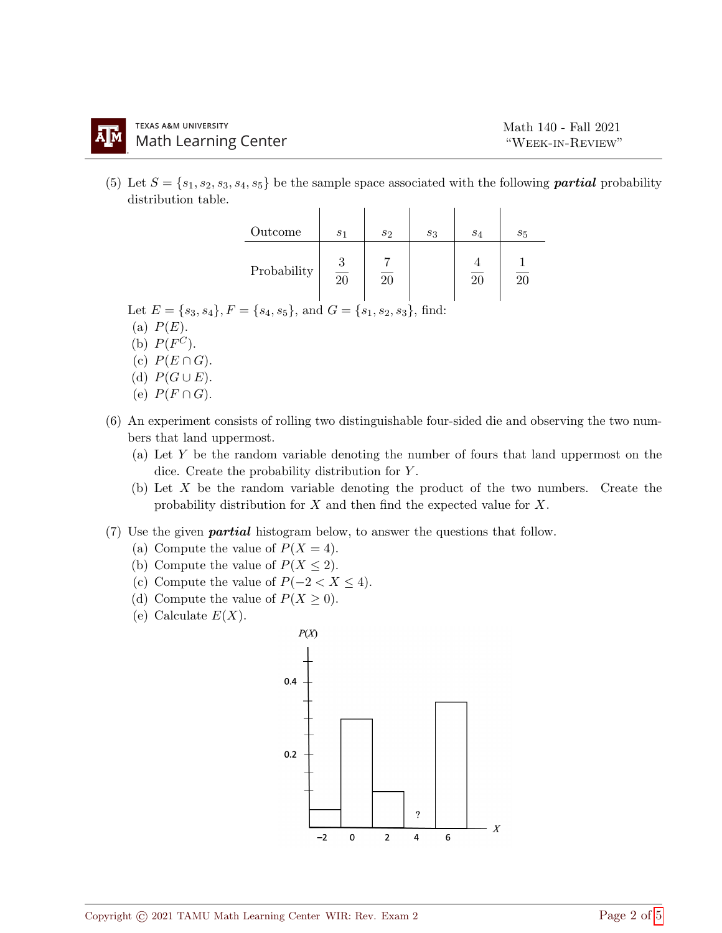(5) Let  $S = \{s_1, s_2, s_3, s_4, s_5\}$  be the sample space associated with the following **partial** probability distribution table.

| Outcome     | $s_1$          | $s_2$ | $s_3$ | $S_4$ | $s_5$ |
|-------------|----------------|-------|-------|-------|-------|
| Probability | $\frac{3}{20}$ | 20    |       | 20    | 20    |

Let  $E = \{s_3, s_4\}, F = \{s_4, s_5\}, \text{ and } G = \{s_1, s_2, s_3\}, \text{ find:}$ 

(a)  $P(E)$ .

- (b)  $P(F^C)$ .
- (c)  $P(E \cap G)$ .
- (d)  $P(G \cup E)$ .
- (e)  $P(F \cap G)$ .
- (6) An experiment consists of rolling two distinguishable four-sided die and observing the two numbers that land uppermost.
	- (a) Let Y be the random variable denoting the number of fours that land uppermost on the dice. Create the probability distribution for Y .
	- (b) Let X be the random variable denoting the product of the two numbers. Create the probability distribution for  $X$  and then find the expected value for  $X$ .
- $(7)$  Use the given **partial** histogram below, to answer the questions that follow.
	- (a) Compute the value of  $P(X = 4)$ .
	- (b) Compute the value of  $P(X \leq 2)$ .
	- (c) Compute the value of  $P(-2 < X \leq 4)$ .
	- (d) Compute the value of  $P(X \geq 0)$ .
	- (e) Calculate  $E(X)$ .

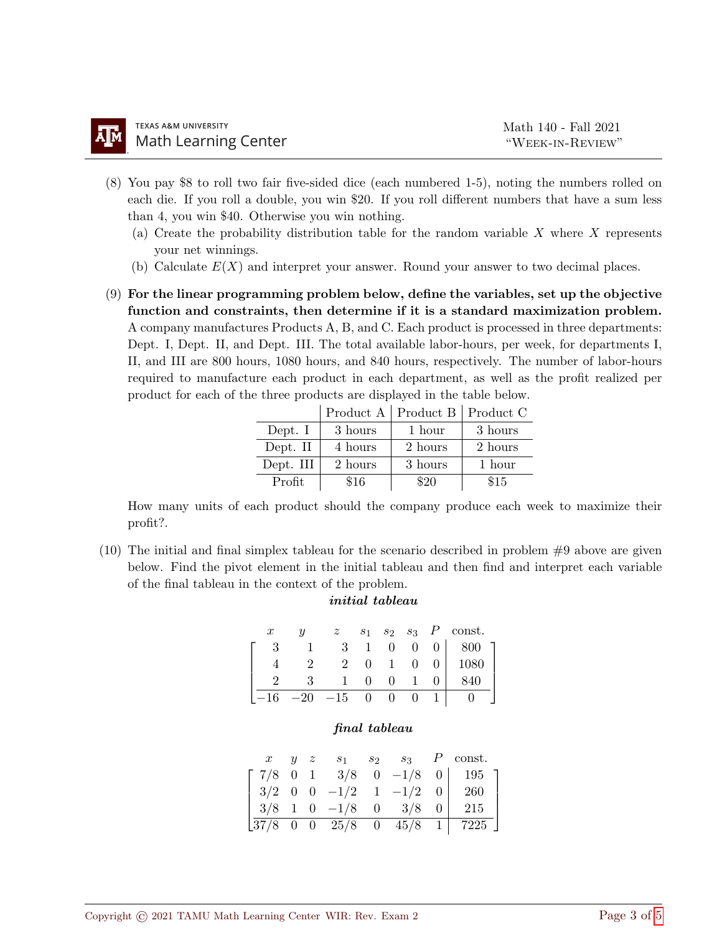- (8) You pay \$8 to roll two fair five-sided dice (each numbered 1-5), noting the numbers rolled on each die. If you roll a double, you win \$20. If you roll different numbers that have a sum less than 4, you win \$40. Otherwise you win nothing.
	- (a) Create the probability distribution table for the random variable  $X$  where  $X$  represents your net winnings.
	- (b) Calculate  $E(X)$  and interpret your answer. Round your answer to two decimal places.
- (9) For the linear programming problem below, define the variables, set up the objective function and constraints, then determine if it is a standard maximization problem. A company manufactures Products A, B, and C. Each product is processed in three departments: Dept. I, Dept. II, and Dept. III. The total available labor-hours, per week, for departments I, II, and III are 800 hours, 1080 hours, and 840 hours, respectively. The number of labor-hours required to manufacture each product in each department, as well as the profit realized per product for each of the three products are displayed in the table below.

|           |         | Product A   Product B   Product C |         |
|-----------|---------|-----------------------------------|---------|
| Dept. I   | 3 hours | 1 hour                            | 3 hours |
| Dept. II  | 4 hours | 2 hours                           | 2 hours |
| Dept. III | 2 hours | 3 hours                           | 1 hour  |
| Profit    | \$16    | \$20                              | \$15    |

How many units of each product should the company produce each week to maximize their profit?.

 $(10)$  The initial and final simplex tableau for the scenario described in problem  $#9$  above are given below. Find the pivot element in the initial tableau and then find and interpret each variable of the final tableau in the context of the problem.

## initial tableau

| $\boldsymbol{x}$ | U | $\boldsymbol{z}$ | $S_1$ | $s_2$ $s_3$ | P | const. |
|------------------|---|------------------|-------|-------------|---|--------|
|                  |   |                  |       | 0           | O | 800    |
|                  |   | $\mathfrak{D}$   | 0     | 0           |   | 1080   |
|                  |   |                  |       |             |   | 840    |
| 16               |   | $-15$            |       |             |   |        |

## final tableau

|  | $y \, z$ | $s_1$                                                                                       | $s_2$ $s_3$ | $P$ const.                                                                |
|--|----------|---------------------------------------------------------------------------------------------|-------------|---------------------------------------------------------------------------|
|  |          |                                                                                             |             | $\begin{bmatrix} 7/8 & 0 & 1 & 3/8 & 0 & -1/8 & 0 & 195 \end{bmatrix}$    |
|  |          | $\begin{vmatrix} 3/2 & 0 & 0 & -1/2 & 1 & -1/2 & 0 \end{vmatrix}$                           |             | 260                                                                       |
|  |          | $\begin{array}{ c c c c c c c c } \hline 3/8 & 1 & 0 & -1/8 & 0 & 3/8 \ \hline \end{array}$ |             | 215                                                                       |
|  |          |                                                                                             |             | $\begin{bmatrix} 37/8 & 0 & 0 & 25/8 & 0 & 45/8 & 1 & 7225 \end{bmatrix}$ |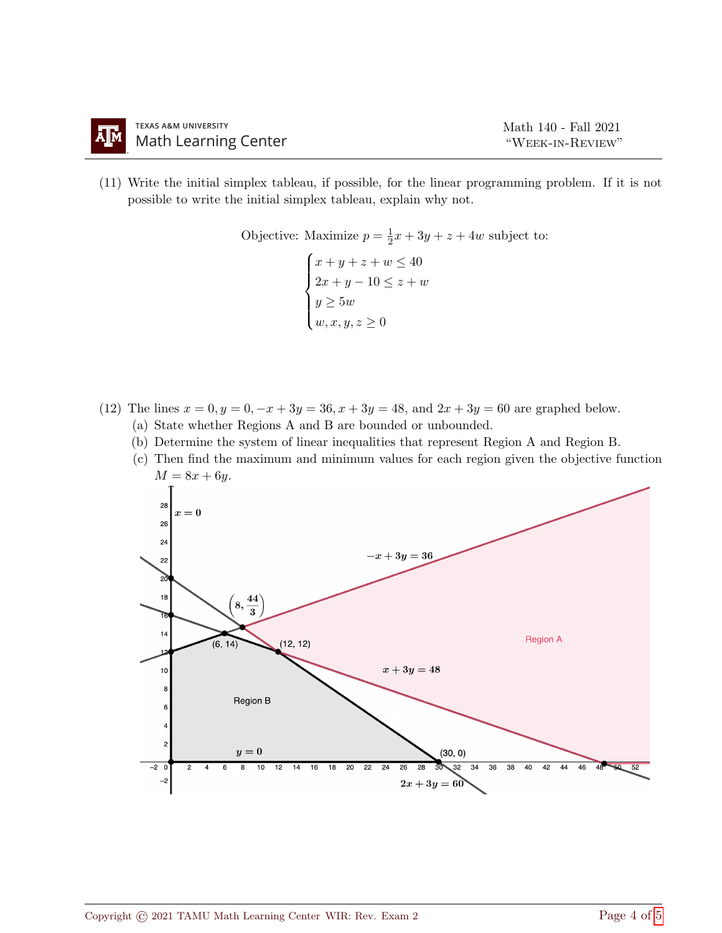

(11) Write the initial simplex tableau, if possible, for the linear programming problem. If it is not possible to write the initial simplex tableau, explain why not.

> Objective: Maximize  $p=\frac{1}{2}$  $\frac{1}{2}x + 3y + z + 4w$  subject to:

- $\sqrt{ }$  $\int$  $\overline{\mathcal{L}}$  $x + y + z + w \leq 40$  $2x + y - 10 \leq z + w$  $y \geq 5w$  $w, x, y, z \geq 0$
- (12) The lines  $x = 0, y = 0, -x + 3y = 36, x + 3y = 48$ , and  $2x + 3y = 60$  are graphed below.
	- (a) State whether Regions A and B are bounded or unbounded.
	- (b) Determine the system of linear inequalities that represent Region A and Region B.
	- (c) Then find the maximum and minimum values for each region given the objective function  $M = 8x + 6y$ .